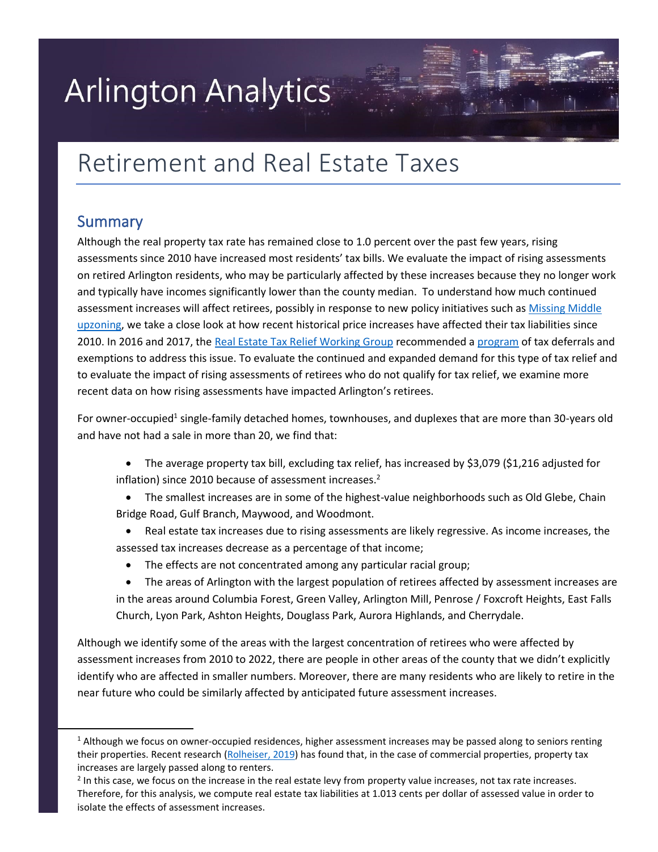# **Arlington Analytics**

## Retirement and Real Estate Taxes

### Summary

Although the real property tax rate has remained close to 1.0 percent over the past few years, rising assessments since 2010 have increased most residents' tax bills. We evaluate the impact of rising assessments on retired Arlington residents, who may be particularly affected by these increases because they no longer work and typically have incomes significantly lower than the county median. To understand how much continued assessment increases will affect retirees, possibly in response to new policy initiatives such as Mi[ssing Middle](https://www.arlingtonva.us/Government/Programs/Housing/Housing-Arlington/Tools/Missing-Middle)  [upzoning, we ta](https://www.arlingtonva.us/Government/Programs/Housing/Housing-Arlington/Tools/Missing-Middle)ke a close look at how recent historical price increases have affected their tax liabilities since 2010. In 2016 and 2017, the Rea[l Estate Tax Relief Working Group](https://www.arlingtonva.us/Government/Commissions-and-Advisory-Groups/Real-Estate-Tax-Relief-Working-Group) recommended a p[rogram](https://www.arlingtonva.us/Government/Topics/Real-Estate/Tax-Payments/Real-Estate-Tax-Relief) of tax deferrals and exemptions to address this issue. To evaluate the continued and expanded demand for this type of tax relief and to evaluate the impact of rising assessments of retirees who do not qualify for tax relief, we examine more recent data on how rising assessments have impacted Arlington's retirees.

For owner-occupied<sup>1</sup> single-family detached homes, townhouses, and duplexes that are more than 30-years old and have not had a sale in more than 20, we find that:

- The average property tax bill, excluding tax relief, has increased by \$3,079 (\$1,216 adjusted for inflation) since 2010 because of assessment increases.<sup>2</sup>
- The smallest increases are in some of the highest-value neighborhoods such as Old Glebe, Chain Bridge Road, Gulf Branch, Maywood, and Woodmont.
- Real estate tax increases due to rising assessments are likely regressive. As income increases, the assessed tax increases decrease as a percentage of that income;
	- The effects are not concentrated among any particular racial group;
- The areas of Arlington with the largest population of retirees affected by assessment increases are in the areas around Columbia Forest, Green Valley, Arlington Mill, Penrose / Foxcroft Heights, East Falls Church, Lyon Park, Ashton Heights, Douglass Park, Aurora Highlands, and Cherrydale.

Although we identify some of the areas with the largest concentration of retirees who were affected by assessment increases from 2010 to 2022, there are people in other areas of the county that we didn't explicitly identify who are affected in smaller numbers. Moreover, there are many residents who are likely to retire in the near future who could be similarly affected by anticipated future assessment increases.

 $1$  Although we focus on owner-occupied residences, higher assessment increases may be passed along to seniors renting their properties. Recent research [\(Rolheiser, 2019\)](https://papers.ssrn.com/sol3/Papers.cfm?abstract_id=2993371) has found that, in the case of commercial properties, property tax increases are largely passed along to renters.

<sup>&</sup>lt;sup>2</sup> In this case, we focus on the increase in the real estate levy from property value increases, not tax rate increases. Therefore, for this analysis, we compute real estate tax liabilities at 1.013 cents per dollar of assessed value in order to isolate the effects of assessment increases.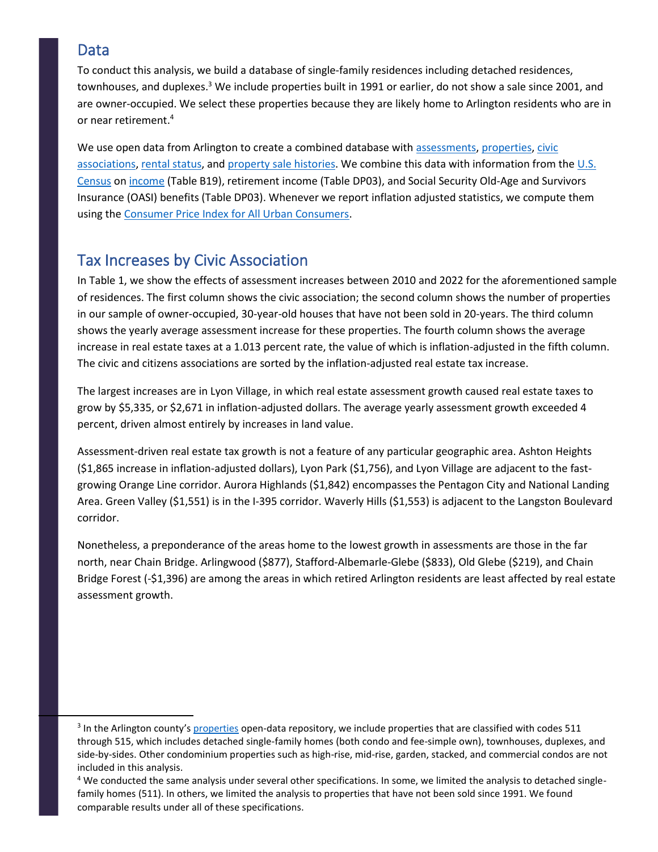### Data

To conduct this analysis, we build a database of single-family residences including detached residences, townhouses, and duplexes.<sup>3</sup> We include properties built in 1991 or earlier, do not show a sale since 2001, and are owner-occupied. We select these properties because they are likely home to Arlington residents who are in or near retirement.<sup>4</sup>

We use open data from Arlington to create a combined database with asses[sments, prope](https://data.arlingtonva.us/dataset/9)rties, civic [associations, renta](https://gisdata-arlgis.opendata.arcgis.com/datasets/civic-association-polygons/explore?location=38.880938%2C-77.109550%2C13.65)[l status, and p](https://gisdata-arlgis.opendata.arcgis.com/datasets/master-housing-unit-database-polygons/explore?location=38.880938%2C-77.109700%2C13.65)rop[erty sale histories. We c](https://data.arlingtonva.us/dataset/104)ombine this data with information from the U.S. [Census](https://data.census.gov/cedsci/table?q=retirement%20income&tid=ACSDP5Y2020.DP03) on income [\(Table](https://data.census.gov/cedsci/table?q=B19001%3A%20HOUSEHOLD%20INCOME%20IN%20THE%20PAST%2012%20MONTHS%20%28IN%202020%20INFLATION-ADJUSTED%20DOLLARS%29&g=0500000US51013%241500000&tid=ACSDT5Y2020.B19001) B19), retirement income (Table DP03), and Social Security Old-Age and Survivors Insurance (OASI) benefits (Table DP03). Whenever we report inflation adjusted statistics, we compute them using the Cons[umer Price Index for All Urban Consumers.](https://fred.stlouisfed.org/series/CPIAUCSL)

### Tax Increases by Civic Association

In Table 1, we show the effects of assessment increases between 2010 and 2022 for the aforementioned sample of residences. The first column shows the civic association; the second column shows the number of properties in our sample of owner-occupied, 30-year-old houses that have not been sold in 20-years. The third column shows the yearly average assessment increase for these properties. The fourth column shows the average increase in real estate taxes at a 1.013 percent rate, the value of which is inflation-adjusted in the fifth column. The civic and citizens associations are sorted by the inflation-adjusted real estate tax increase.

The largest increases are in Lyon Village, in which real estate assessment growth caused real estate taxes to grow by \$5,335, or \$2,671 in inflation-adjusted dollars. The average yearly assessment growth exceeded 4 percent, driven almost entirely by increases in land value.

Assessment-driven real estate tax growth is not a feature of any particular geographic area. Ashton Heights (\$1,865 increase in inflation-adjusted dollars), Lyon Park (\$1,756), and Lyon Village are adjacent to the fastgrowing Orange Line corridor. Aurora Highlands (\$1,842) encompasses the Pentagon City and National Landing Area. Green Valley (\$1,551) is in the I-395 corridor. Waverly Hills (\$1,553) is adjacent to the Langston Boulevard corridor.

Nonetheless, a preponderance of the areas home to the lowest growth in assessments are those in the far north, near Chain Bridge. Arlingwood (\$877), Stafford-Albemarle-Glebe (\$833), Old Glebe (\$219), and Chain Bridge Forest (-\$1,396) are among the areas in which retired Arlington residents are least affected by real estate assessment growth.

<sup>&</sup>lt;sup>3</sup> In the Arlington county's [properties](https://data.arlingtonva.us/dataset/89) open-data repository, we include properties that are classified with codes 511 through 515, which includes detached single-family homes (both condo and fee-simple own), townhouses, duplexes, and side-by-sides. Other condominium properties such as high-rise, mid-rise, garden, stacked, and commercial condos are not included in this analysis.

<sup>&</sup>lt;sup>4</sup> We conducted the same analysis under several other specifications. In some, we limited the analysis to detached singlefamily homes (511). In others, we limited the analysis to properties that have not been sold since 1991. We found comparable results under all of these specifications.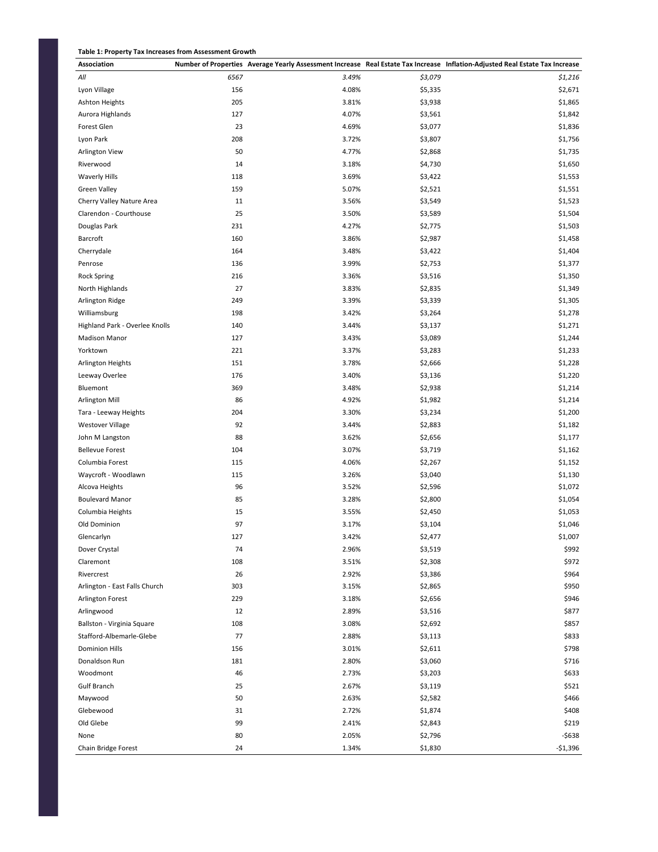#### **Table 1: Property Tax Increases from Assessment Growth**

| 3.49%<br>All<br>6567<br>\$3,079<br>\$1,216<br>156<br>4.08%<br>\$2,671<br>Lyon Village<br>\$5,335<br><b>Ashton Heights</b><br>205<br>3.81%<br>\$3,938<br>\$1,865<br>Aurora Highlands<br>127<br>4.07%<br>\$3,561<br>\$1,842<br>23<br>4.69%<br>\$1,836<br>Forest Glen<br>\$3,077<br>\$3,807<br>\$1,756<br>Lyon Park<br>208<br>3.72%<br>50<br>4.77%<br>\$2,868<br>\$1,735<br>Arlington View<br>14<br>\$4,730<br>\$1,650<br>Riverwood<br>3.18%<br>3.69%<br>\$1,553<br><b>Waverly Hills</b><br>118<br>\$3,422<br>\$1,551<br><b>Green Valley</b><br>159<br>5.07%<br>\$2,521<br>\$3,549<br>\$1,523<br>11<br>3.56%<br>Cherry Valley Nature Area<br>25<br>\$1,504<br>Clarendon - Courthouse<br>3.50%<br>\$3,589<br>Douglas Park<br>231<br>4.27%<br>\$2,775<br>\$1,503<br>Barcroft<br>160<br>3.86%<br>\$2,987<br>\$1,458<br>164<br>Cherrydale<br>3.48%<br>\$3,422<br>\$1,404<br>136<br>Penrose<br>3.99%<br>\$2,753<br>\$1,377<br><b>Rock Spring</b><br>216<br>3.36%<br>\$3,516<br>\$1,350<br>27<br>North Highlands<br>3.83%<br>\$2,835<br>\$1,349<br>\$1,305<br>249<br>3.39%<br>\$3,339<br>Arlington Ridge<br>\$1,278<br>Williamsburg<br>198<br>3.42%<br>\$3,264<br>Highland Park - Overlee Knolls<br>140<br>3.44%<br>\$3,137<br>\$1,271<br>\$1,244<br><b>Madison Manor</b><br>127<br>3.43%<br>\$3,089<br>Yorktown<br>221<br>3.37%<br>\$3,283<br>\$1,233<br>3.78%<br>\$1,228<br>151<br>\$2,666<br>Arlington Heights<br>176<br>\$1,220<br>Leeway Overlee<br>3.40%<br>\$3,136<br>\$1,214<br>Bluemont<br>369<br>3.48%<br>\$2,938<br>86<br>4.92%<br>\$1,982<br>\$1,214<br>Arlington Mill<br>204<br>3.30%<br>\$1,200<br>\$3,234<br>Tara - Leeway Heights<br>92<br><b>Westover Village</b><br>3.44%<br>\$2,883<br>\$1,182<br>88<br>3.62%<br>\$2,656<br>\$1,177<br>John M Langston<br>104<br>3.07%<br>\$3,719<br>\$1,162<br><b>Bellevue Forest</b><br>4.06%<br>\$1,152<br>Columbia Forest<br>115<br>\$2,267<br>\$3,040<br>\$1,130<br>Waycroft - Woodlawn<br>115<br>3.26%<br>96<br>3.52%<br>\$2,596<br>Alcova Heights<br>\$1,072<br>85<br>3.28%<br>\$1,054<br><b>Boulevard Manor</b><br>\$2,800<br>\$1,053<br>Columbia Heights<br>15<br>3.55%<br>\$2,450<br>97<br>3.17%<br>\$3,104<br>\$1,046<br>Old Dominion<br>3.42%<br>\$1,007<br>127<br>\$2,477<br>Glencarlyn<br>74<br>2.96%<br>\$3,519<br>\$992<br>Dover Crystal<br>\$972<br>108<br>3.51%<br>\$2,308<br>Claremont<br>26<br>2.92%<br>\$964<br>Rivercrest<br>\$3,386<br>303<br>\$950<br>Arlington - East Falls Church<br>3.15%<br>\$2,865<br>\$946<br>Arlington Forest<br>229<br>3.18%<br>\$2,656<br>12<br>2.89%<br>\$3,516<br>\$877<br>Arlingwood<br>108<br>3.08%<br>\$2,692<br>\$857<br>Ballston - Virginia Square<br>77<br>2.88%<br>\$3,113<br>\$833<br>Stafford-Albemarle-Glebe<br>3.01%<br>\$2,611<br>\$798<br><b>Dominion Hills</b><br>156<br>181<br>2.80%<br>\$3,060<br>\$716<br>Donaldson Run<br>\$633<br>Woodmont<br>46<br>2.73%<br>\$3,203<br>25<br>\$3,119<br>\$521<br>Gulf Branch<br>2.67%<br>50<br>\$2,582<br>\$466<br>Maywood<br>2.63%<br>Glebewood<br>2.72%<br>\$1,874<br>\$408<br>31<br>Old Glebe<br>99<br>\$219<br>2.41%<br>\$2,843<br>80<br>2.05%<br>-\$638<br>\$2,796<br>None<br>24<br>1.34%<br>\$1,830<br>$-$1,396$<br>Chain Bridge Forest | Association |  | Number of Properties Average Yearly Assessment Increase Real Estate Tax Increase Inflation-Adjusted Real Estate Tax Increase |
|------------------------------------------------------------------------------------------------------------------------------------------------------------------------------------------------------------------------------------------------------------------------------------------------------------------------------------------------------------------------------------------------------------------------------------------------------------------------------------------------------------------------------------------------------------------------------------------------------------------------------------------------------------------------------------------------------------------------------------------------------------------------------------------------------------------------------------------------------------------------------------------------------------------------------------------------------------------------------------------------------------------------------------------------------------------------------------------------------------------------------------------------------------------------------------------------------------------------------------------------------------------------------------------------------------------------------------------------------------------------------------------------------------------------------------------------------------------------------------------------------------------------------------------------------------------------------------------------------------------------------------------------------------------------------------------------------------------------------------------------------------------------------------------------------------------------------------------------------------------------------------------------------------------------------------------------------------------------------------------------------------------------------------------------------------------------------------------------------------------------------------------------------------------------------------------------------------------------------------------------------------------------------------------------------------------------------------------------------------------------------------------------------------------------------------------------------------------------------------------------------------------------------------------------------------------------------------------------------------------------------------------------------------------------------------------------------------------------------------------------------------------------------------------------------------------------------------------------------------------------------------------------------------------------------------------------------------------------------------------------------------------------------------------------------------------------------------------------------------------------------------------------------------------------------------------------|-------------|--|------------------------------------------------------------------------------------------------------------------------------|
|                                                                                                                                                                                                                                                                                                                                                                                                                                                                                                                                                                                                                                                                                                                                                                                                                                                                                                                                                                                                                                                                                                                                                                                                                                                                                                                                                                                                                                                                                                                                                                                                                                                                                                                                                                                                                                                                                                                                                                                                                                                                                                                                                                                                                                                                                                                                                                                                                                                                                                                                                                                                                                                                                                                                                                                                                                                                                                                                                                                                                                                                                                                                                                                                |             |  |                                                                                                                              |
|                                                                                                                                                                                                                                                                                                                                                                                                                                                                                                                                                                                                                                                                                                                                                                                                                                                                                                                                                                                                                                                                                                                                                                                                                                                                                                                                                                                                                                                                                                                                                                                                                                                                                                                                                                                                                                                                                                                                                                                                                                                                                                                                                                                                                                                                                                                                                                                                                                                                                                                                                                                                                                                                                                                                                                                                                                                                                                                                                                                                                                                                                                                                                                                                |             |  |                                                                                                                              |
|                                                                                                                                                                                                                                                                                                                                                                                                                                                                                                                                                                                                                                                                                                                                                                                                                                                                                                                                                                                                                                                                                                                                                                                                                                                                                                                                                                                                                                                                                                                                                                                                                                                                                                                                                                                                                                                                                                                                                                                                                                                                                                                                                                                                                                                                                                                                                                                                                                                                                                                                                                                                                                                                                                                                                                                                                                                                                                                                                                                                                                                                                                                                                                                                |             |  |                                                                                                                              |
|                                                                                                                                                                                                                                                                                                                                                                                                                                                                                                                                                                                                                                                                                                                                                                                                                                                                                                                                                                                                                                                                                                                                                                                                                                                                                                                                                                                                                                                                                                                                                                                                                                                                                                                                                                                                                                                                                                                                                                                                                                                                                                                                                                                                                                                                                                                                                                                                                                                                                                                                                                                                                                                                                                                                                                                                                                                                                                                                                                                                                                                                                                                                                                                                |             |  |                                                                                                                              |
|                                                                                                                                                                                                                                                                                                                                                                                                                                                                                                                                                                                                                                                                                                                                                                                                                                                                                                                                                                                                                                                                                                                                                                                                                                                                                                                                                                                                                                                                                                                                                                                                                                                                                                                                                                                                                                                                                                                                                                                                                                                                                                                                                                                                                                                                                                                                                                                                                                                                                                                                                                                                                                                                                                                                                                                                                                                                                                                                                                                                                                                                                                                                                                                                |             |  |                                                                                                                              |
|                                                                                                                                                                                                                                                                                                                                                                                                                                                                                                                                                                                                                                                                                                                                                                                                                                                                                                                                                                                                                                                                                                                                                                                                                                                                                                                                                                                                                                                                                                                                                                                                                                                                                                                                                                                                                                                                                                                                                                                                                                                                                                                                                                                                                                                                                                                                                                                                                                                                                                                                                                                                                                                                                                                                                                                                                                                                                                                                                                                                                                                                                                                                                                                                |             |  |                                                                                                                              |
|                                                                                                                                                                                                                                                                                                                                                                                                                                                                                                                                                                                                                                                                                                                                                                                                                                                                                                                                                                                                                                                                                                                                                                                                                                                                                                                                                                                                                                                                                                                                                                                                                                                                                                                                                                                                                                                                                                                                                                                                                                                                                                                                                                                                                                                                                                                                                                                                                                                                                                                                                                                                                                                                                                                                                                                                                                                                                                                                                                                                                                                                                                                                                                                                |             |  |                                                                                                                              |
|                                                                                                                                                                                                                                                                                                                                                                                                                                                                                                                                                                                                                                                                                                                                                                                                                                                                                                                                                                                                                                                                                                                                                                                                                                                                                                                                                                                                                                                                                                                                                                                                                                                                                                                                                                                                                                                                                                                                                                                                                                                                                                                                                                                                                                                                                                                                                                                                                                                                                                                                                                                                                                                                                                                                                                                                                                                                                                                                                                                                                                                                                                                                                                                                |             |  |                                                                                                                              |
|                                                                                                                                                                                                                                                                                                                                                                                                                                                                                                                                                                                                                                                                                                                                                                                                                                                                                                                                                                                                                                                                                                                                                                                                                                                                                                                                                                                                                                                                                                                                                                                                                                                                                                                                                                                                                                                                                                                                                                                                                                                                                                                                                                                                                                                                                                                                                                                                                                                                                                                                                                                                                                                                                                                                                                                                                                                                                                                                                                                                                                                                                                                                                                                                |             |  |                                                                                                                              |
|                                                                                                                                                                                                                                                                                                                                                                                                                                                                                                                                                                                                                                                                                                                                                                                                                                                                                                                                                                                                                                                                                                                                                                                                                                                                                                                                                                                                                                                                                                                                                                                                                                                                                                                                                                                                                                                                                                                                                                                                                                                                                                                                                                                                                                                                                                                                                                                                                                                                                                                                                                                                                                                                                                                                                                                                                                                                                                                                                                                                                                                                                                                                                                                                |             |  |                                                                                                                              |
|                                                                                                                                                                                                                                                                                                                                                                                                                                                                                                                                                                                                                                                                                                                                                                                                                                                                                                                                                                                                                                                                                                                                                                                                                                                                                                                                                                                                                                                                                                                                                                                                                                                                                                                                                                                                                                                                                                                                                                                                                                                                                                                                                                                                                                                                                                                                                                                                                                                                                                                                                                                                                                                                                                                                                                                                                                                                                                                                                                                                                                                                                                                                                                                                |             |  |                                                                                                                              |
|                                                                                                                                                                                                                                                                                                                                                                                                                                                                                                                                                                                                                                                                                                                                                                                                                                                                                                                                                                                                                                                                                                                                                                                                                                                                                                                                                                                                                                                                                                                                                                                                                                                                                                                                                                                                                                                                                                                                                                                                                                                                                                                                                                                                                                                                                                                                                                                                                                                                                                                                                                                                                                                                                                                                                                                                                                                                                                                                                                                                                                                                                                                                                                                                |             |  |                                                                                                                              |
|                                                                                                                                                                                                                                                                                                                                                                                                                                                                                                                                                                                                                                                                                                                                                                                                                                                                                                                                                                                                                                                                                                                                                                                                                                                                                                                                                                                                                                                                                                                                                                                                                                                                                                                                                                                                                                                                                                                                                                                                                                                                                                                                                                                                                                                                                                                                                                                                                                                                                                                                                                                                                                                                                                                                                                                                                                                                                                                                                                                                                                                                                                                                                                                                |             |  |                                                                                                                              |
|                                                                                                                                                                                                                                                                                                                                                                                                                                                                                                                                                                                                                                                                                                                                                                                                                                                                                                                                                                                                                                                                                                                                                                                                                                                                                                                                                                                                                                                                                                                                                                                                                                                                                                                                                                                                                                                                                                                                                                                                                                                                                                                                                                                                                                                                                                                                                                                                                                                                                                                                                                                                                                                                                                                                                                                                                                                                                                                                                                                                                                                                                                                                                                                                |             |  |                                                                                                                              |
|                                                                                                                                                                                                                                                                                                                                                                                                                                                                                                                                                                                                                                                                                                                                                                                                                                                                                                                                                                                                                                                                                                                                                                                                                                                                                                                                                                                                                                                                                                                                                                                                                                                                                                                                                                                                                                                                                                                                                                                                                                                                                                                                                                                                                                                                                                                                                                                                                                                                                                                                                                                                                                                                                                                                                                                                                                                                                                                                                                                                                                                                                                                                                                                                |             |  |                                                                                                                              |
|                                                                                                                                                                                                                                                                                                                                                                                                                                                                                                                                                                                                                                                                                                                                                                                                                                                                                                                                                                                                                                                                                                                                                                                                                                                                                                                                                                                                                                                                                                                                                                                                                                                                                                                                                                                                                                                                                                                                                                                                                                                                                                                                                                                                                                                                                                                                                                                                                                                                                                                                                                                                                                                                                                                                                                                                                                                                                                                                                                                                                                                                                                                                                                                                |             |  |                                                                                                                              |
|                                                                                                                                                                                                                                                                                                                                                                                                                                                                                                                                                                                                                                                                                                                                                                                                                                                                                                                                                                                                                                                                                                                                                                                                                                                                                                                                                                                                                                                                                                                                                                                                                                                                                                                                                                                                                                                                                                                                                                                                                                                                                                                                                                                                                                                                                                                                                                                                                                                                                                                                                                                                                                                                                                                                                                                                                                                                                                                                                                                                                                                                                                                                                                                                |             |  |                                                                                                                              |
|                                                                                                                                                                                                                                                                                                                                                                                                                                                                                                                                                                                                                                                                                                                                                                                                                                                                                                                                                                                                                                                                                                                                                                                                                                                                                                                                                                                                                                                                                                                                                                                                                                                                                                                                                                                                                                                                                                                                                                                                                                                                                                                                                                                                                                                                                                                                                                                                                                                                                                                                                                                                                                                                                                                                                                                                                                                                                                                                                                                                                                                                                                                                                                                                |             |  |                                                                                                                              |
|                                                                                                                                                                                                                                                                                                                                                                                                                                                                                                                                                                                                                                                                                                                                                                                                                                                                                                                                                                                                                                                                                                                                                                                                                                                                                                                                                                                                                                                                                                                                                                                                                                                                                                                                                                                                                                                                                                                                                                                                                                                                                                                                                                                                                                                                                                                                                                                                                                                                                                                                                                                                                                                                                                                                                                                                                                                                                                                                                                                                                                                                                                                                                                                                |             |  |                                                                                                                              |
|                                                                                                                                                                                                                                                                                                                                                                                                                                                                                                                                                                                                                                                                                                                                                                                                                                                                                                                                                                                                                                                                                                                                                                                                                                                                                                                                                                                                                                                                                                                                                                                                                                                                                                                                                                                                                                                                                                                                                                                                                                                                                                                                                                                                                                                                                                                                                                                                                                                                                                                                                                                                                                                                                                                                                                                                                                                                                                                                                                                                                                                                                                                                                                                                |             |  |                                                                                                                              |
|                                                                                                                                                                                                                                                                                                                                                                                                                                                                                                                                                                                                                                                                                                                                                                                                                                                                                                                                                                                                                                                                                                                                                                                                                                                                                                                                                                                                                                                                                                                                                                                                                                                                                                                                                                                                                                                                                                                                                                                                                                                                                                                                                                                                                                                                                                                                                                                                                                                                                                                                                                                                                                                                                                                                                                                                                                                                                                                                                                                                                                                                                                                                                                                                |             |  |                                                                                                                              |
|                                                                                                                                                                                                                                                                                                                                                                                                                                                                                                                                                                                                                                                                                                                                                                                                                                                                                                                                                                                                                                                                                                                                                                                                                                                                                                                                                                                                                                                                                                                                                                                                                                                                                                                                                                                                                                                                                                                                                                                                                                                                                                                                                                                                                                                                                                                                                                                                                                                                                                                                                                                                                                                                                                                                                                                                                                                                                                                                                                                                                                                                                                                                                                                                |             |  |                                                                                                                              |
|                                                                                                                                                                                                                                                                                                                                                                                                                                                                                                                                                                                                                                                                                                                                                                                                                                                                                                                                                                                                                                                                                                                                                                                                                                                                                                                                                                                                                                                                                                                                                                                                                                                                                                                                                                                                                                                                                                                                                                                                                                                                                                                                                                                                                                                                                                                                                                                                                                                                                                                                                                                                                                                                                                                                                                                                                                                                                                                                                                                                                                                                                                                                                                                                |             |  |                                                                                                                              |
|                                                                                                                                                                                                                                                                                                                                                                                                                                                                                                                                                                                                                                                                                                                                                                                                                                                                                                                                                                                                                                                                                                                                                                                                                                                                                                                                                                                                                                                                                                                                                                                                                                                                                                                                                                                                                                                                                                                                                                                                                                                                                                                                                                                                                                                                                                                                                                                                                                                                                                                                                                                                                                                                                                                                                                                                                                                                                                                                                                                                                                                                                                                                                                                                |             |  |                                                                                                                              |
|                                                                                                                                                                                                                                                                                                                                                                                                                                                                                                                                                                                                                                                                                                                                                                                                                                                                                                                                                                                                                                                                                                                                                                                                                                                                                                                                                                                                                                                                                                                                                                                                                                                                                                                                                                                                                                                                                                                                                                                                                                                                                                                                                                                                                                                                                                                                                                                                                                                                                                                                                                                                                                                                                                                                                                                                                                                                                                                                                                                                                                                                                                                                                                                                |             |  |                                                                                                                              |
|                                                                                                                                                                                                                                                                                                                                                                                                                                                                                                                                                                                                                                                                                                                                                                                                                                                                                                                                                                                                                                                                                                                                                                                                                                                                                                                                                                                                                                                                                                                                                                                                                                                                                                                                                                                                                                                                                                                                                                                                                                                                                                                                                                                                                                                                                                                                                                                                                                                                                                                                                                                                                                                                                                                                                                                                                                                                                                                                                                                                                                                                                                                                                                                                |             |  |                                                                                                                              |
|                                                                                                                                                                                                                                                                                                                                                                                                                                                                                                                                                                                                                                                                                                                                                                                                                                                                                                                                                                                                                                                                                                                                                                                                                                                                                                                                                                                                                                                                                                                                                                                                                                                                                                                                                                                                                                                                                                                                                                                                                                                                                                                                                                                                                                                                                                                                                                                                                                                                                                                                                                                                                                                                                                                                                                                                                                                                                                                                                                                                                                                                                                                                                                                                |             |  |                                                                                                                              |
|                                                                                                                                                                                                                                                                                                                                                                                                                                                                                                                                                                                                                                                                                                                                                                                                                                                                                                                                                                                                                                                                                                                                                                                                                                                                                                                                                                                                                                                                                                                                                                                                                                                                                                                                                                                                                                                                                                                                                                                                                                                                                                                                                                                                                                                                                                                                                                                                                                                                                                                                                                                                                                                                                                                                                                                                                                                                                                                                                                                                                                                                                                                                                                                                |             |  |                                                                                                                              |
|                                                                                                                                                                                                                                                                                                                                                                                                                                                                                                                                                                                                                                                                                                                                                                                                                                                                                                                                                                                                                                                                                                                                                                                                                                                                                                                                                                                                                                                                                                                                                                                                                                                                                                                                                                                                                                                                                                                                                                                                                                                                                                                                                                                                                                                                                                                                                                                                                                                                                                                                                                                                                                                                                                                                                                                                                                                                                                                                                                                                                                                                                                                                                                                                |             |  |                                                                                                                              |
|                                                                                                                                                                                                                                                                                                                                                                                                                                                                                                                                                                                                                                                                                                                                                                                                                                                                                                                                                                                                                                                                                                                                                                                                                                                                                                                                                                                                                                                                                                                                                                                                                                                                                                                                                                                                                                                                                                                                                                                                                                                                                                                                                                                                                                                                                                                                                                                                                                                                                                                                                                                                                                                                                                                                                                                                                                                                                                                                                                                                                                                                                                                                                                                                |             |  |                                                                                                                              |
|                                                                                                                                                                                                                                                                                                                                                                                                                                                                                                                                                                                                                                                                                                                                                                                                                                                                                                                                                                                                                                                                                                                                                                                                                                                                                                                                                                                                                                                                                                                                                                                                                                                                                                                                                                                                                                                                                                                                                                                                                                                                                                                                                                                                                                                                                                                                                                                                                                                                                                                                                                                                                                                                                                                                                                                                                                                                                                                                                                                                                                                                                                                                                                                                |             |  |                                                                                                                              |
|                                                                                                                                                                                                                                                                                                                                                                                                                                                                                                                                                                                                                                                                                                                                                                                                                                                                                                                                                                                                                                                                                                                                                                                                                                                                                                                                                                                                                                                                                                                                                                                                                                                                                                                                                                                                                                                                                                                                                                                                                                                                                                                                                                                                                                                                                                                                                                                                                                                                                                                                                                                                                                                                                                                                                                                                                                                                                                                                                                                                                                                                                                                                                                                                |             |  |                                                                                                                              |
|                                                                                                                                                                                                                                                                                                                                                                                                                                                                                                                                                                                                                                                                                                                                                                                                                                                                                                                                                                                                                                                                                                                                                                                                                                                                                                                                                                                                                                                                                                                                                                                                                                                                                                                                                                                                                                                                                                                                                                                                                                                                                                                                                                                                                                                                                                                                                                                                                                                                                                                                                                                                                                                                                                                                                                                                                                                                                                                                                                                                                                                                                                                                                                                                |             |  |                                                                                                                              |
|                                                                                                                                                                                                                                                                                                                                                                                                                                                                                                                                                                                                                                                                                                                                                                                                                                                                                                                                                                                                                                                                                                                                                                                                                                                                                                                                                                                                                                                                                                                                                                                                                                                                                                                                                                                                                                                                                                                                                                                                                                                                                                                                                                                                                                                                                                                                                                                                                                                                                                                                                                                                                                                                                                                                                                                                                                                                                                                                                                                                                                                                                                                                                                                                |             |  |                                                                                                                              |
|                                                                                                                                                                                                                                                                                                                                                                                                                                                                                                                                                                                                                                                                                                                                                                                                                                                                                                                                                                                                                                                                                                                                                                                                                                                                                                                                                                                                                                                                                                                                                                                                                                                                                                                                                                                                                                                                                                                                                                                                                                                                                                                                                                                                                                                                                                                                                                                                                                                                                                                                                                                                                                                                                                                                                                                                                                                                                                                                                                                                                                                                                                                                                                                                |             |  |                                                                                                                              |
|                                                                                                                                                                                                                                                                                                                                                                                                                                                                                                                                                                                                                                                                                                                                                                                                                                                                                                                                                                                                                                                                                                                                                                                                                                                                                                                                                                                                                                                                                                                                                                                                                                                                                                                                                                                                                                                                                                                                                                                                                                                                                                                                                                                                                                                                                                                                                                                                                                                                                                                                                                                                                                                                                                                                                                                                                                                                                                                                                                                                                                                                                                                                                                                                |             |  |                                                                                                                              |
|                                                                                                                                                                                                                                                                                                                                                                                                                                                                                                                                                                                                                                                                                                                                                                                                                                                                                                                                                                                                                                                                                                                                                                                                                                                                                                                                                                                                                                                                                                                                                                                                                                                                                                                                                                                                                                                                                                                                                                                                                                                                                                                                                                                                                                                                                                                                                                                                                                                                                                                                                                                                                                                                                                                                                                                                                                                                                                                                                                                                                                                                                                                                                                                                |             |  |                                                                                                                              |
|                                                                                                                                                                                                                                                                                                                                                                                                                                                                                                                                                                                                                                                                                                                                                                                                                                                                                                                                                                                                                                                                                                                                                                                                                                                                                                                                                                                                                                                                                                                                                                                                                                                                                                                                                                                                                                                                                                                                                                                                                                                                                                                                                                                                                                                                                                                                                                                                                                                                                                                                                                                                                                                                                                                                                                                                                                                                                                                                                                                                                                                                                                                                                                                                |             |  |                                                                                                                              |
|                                                                                                                                                                                                                                                                                                                                                                                                                                                                                                                                                                                                                                                                                                                                                                                                                                                                                                                                                                                                                                                                                                                                                                                                                                                                                                                                                                                                                                                                                                                                                                                                                                                                                                                                                                                                                                                                                                                                                                                                                                                                                                                                                                                                                                                                                                                                                                                                                                                                                                                                                                                                                                                                                                                                                                                                                                                                                                                                                                                                                                                                                                                                                                                                |             |  |                                                                                                                              |
|                                                                                                                                                                                                                                                                                                                                                                                                                                                                                                                                                                                                                                                                                                                                                                                                                                                                                                                                                                                                                                                                                                                                                                                                                                                                                                                                                                                                                                                                                                                                                                                                                                                                                                                                                                                                                                                                                                                                                                                                                                                                                                                                                                                                                                                                                                                                                                                                                                                                                                                                                                                                                                                                                                                                                                                                                                                                                                                                                                                                                                                                                                                                                                                                |             |  |                                                                                                                              |
|                                                                                                                                                                                                                                                                                                                                                                                                                                                                                                                                                                                                                                                                                                                                                                                                                                                                                                                                                                                                                                                                                                                                                                                                                                                                                                                                                                                                                                                                                                                                                                                                                                                                                                                                                                                                                                                                                                                                                                                                                                                                                                                                                                                                                                                                                                                                                                                                                                                                                                                                                                                                                                                                                                                                                                                                                                                                                                                                                                                                                                                                                                                                                                                                |             |  |                                                                                                                              |
|                                                                                                                                                                                                                                                                                                                                                                                                                                                                                                                                                                                                                                                                                                                                                                                                                                                                                                                                                                                                                                                                                                                                                                                                                                                                                                                                                                                                                                                                                                                                                                                                                                                                                                                                                                                                                                                                                                                                                                                                                                                                                                                                                                                                                                                                                                                                                                                                                                                                                                                                                                                                                                                                                                                                                                                                                                                                                                                                                                                                                                                                                                                                                                                                |             |  |                                                                                                                              |
|                                                                                                                                                                                                                                                                                                                                                                                                                                                                                                                                                                                                                                                                                                                                                                                                                                                                                                                                                                                                                                                                                                                                                                                                                                                                                                                                                                                                                                                                                                                                                                                                                                                                                                                                                                                                                                                                                                                                                                                                                                                                                                                                                                                                                                                                                                                                                                                                                                                                                                                                                                                                                                                                                                                                                                                                                                                                                                                                                                                                                                                                                                                                                                                                |             |  |                                                                                                                              |
|                                                                                                                                                                                                                                                                                                                                                                                                                                                                                                                                                                                                                                                                                                                                                                                                                                                                                                                                                                                                                                                                                                                                                                                                                                                                                                                                                                                                                                                                                                                                                                                                                                                                                                                                                                                                                                                                                                                                                                                                                                                                                                                                                                                                                                                                                                                                                                                                                                                                                                                                                                                                                                                                                                                                                                                                                                                                                                                                                                                                                                                                                                                                                                                                |             |  |                                                                                                                              |
|                                                                                                                                                                                                                                                                                                                                                                                                                                                                                                                                                                                                                                                                                                                                                                                                                                                                                                                                                                                                                                                                                                                                                                                                                                                                                                                                                                                                                                                                                                                                                                                                                                                                                                                                                                                                                                                                                                                                                                                                                                                                                                                                                                                                                                                                                                                                                                                                                                                                                                                                                                                                                                                                                                                                                                                                                                                                                                                                                                                                                                                                                                                                                                                                |             |  |                                                                                                                              |
|                                                                                                                                                                                                                                                                                                                                                                                                                                                                                                                                                                                                                                                                                                                                                                                                                                                                                                                                                                                                                                                                                                                                                                                                                                                                                                                                                                                                                                                                                                                                                                                                                                                                                                                                                                                                                                                                                                                                                                                                                                                                                                                                                                                                                                                                                                                                                                                                                                                                                                                                                                                                                                                                                                                                                                                                                                                                                                                                                                                                                                                                                                                                                                                                |             |  |                                                                                                                              |
|                                                                                                                                                                                                                                                                                                                                                                                                                                                                                                                                                                                                                                                                                                                                                                                                                                                                                                                                                                                                                                                                                                                                                                                                                                                                                                                                                                                                                                                                                                                                                                                                                                                                                                                                                                                                                                                                                                                                                                                                                                                                                                                                                                                                                                                                                                                                                                                                                                                                                                                                                                                                                                                                                                                                                                                                                                                                                                                                                                                                                                                                                                                                                                                                |             |  |                                                                                                                              |
|                                                                                                                                                                                                                                                                                                                                                                                                                                                                                                                                                                                                                                                                                                                                                                                                                                                                                                                                                                                                                                                                                                                                                                                                                                                                                                                                                                                                                                                                                                                                                                                                                                                                                                                                                                                                                                                                                                                                                                                                                                                                                                                                                                                                                                                                                                                                                                                                                                                                                                                                                                                                                                                                                                                                                                                                                                                                                                                                                                                                                                                                                                                                                                                                |             |  |                                                                                                                              |
|                                                                                                                                                                                                                                                                                                                                                                                                                                                                                                                                                                                                                                                                                                                                                                                                                                                                                                                                                                                                                                                                                                                                                                                                                                                                                                                                                                                                                                                                                                                                                                                                                                                                                                                                                                                                                                                                                                                                                                                                                                                                                                                                                                                                                                                                                                                                                                                                                                                                                                                                                                                                                                                                                                                                                                                                                                                                                                                                                                                                                                                                                                                                                                                                |             |  |                                                                                                                              |
|                                                                                                                                                                                                                                                                                                                                                                                                                                                                                                                                                                                                                                                                                                                                                                                                                                                                                                                                                                                                                                                                                                                                                                                                                                                                                                                                                                                                                                                                                                                                                                                                                                                                                                                                                                                                                                                                                                                                                                                                                                                                                                                                                                                                                                                                                                                                                                                                                                                                                                                                                                                                                                                                                                                                                                                                                                                                                                                                                                                                                                                                                                                                                                                                |             |  |                                                                                                                              |
|                                                                                                                                                                                                                                                                                                                                                                                                                                                                                                                                                                                                                                                                                                                                                                                                                                                                                                                                                                                                                                                                                                                                                                                                                                                                                                                                                                                                                                                                                                                                                                                                                                                                                                                                                                                                                                                                                                                                                                                                                                                                                                                                                                                                                                                                                                                                                                                                                                                                                                                                                                                                                                                                                                                                                                                                                                                                                                                                                                                                                                                                                                                                                                                                |             |  |                                                                                                                              |
|                                                                                                                                                                                                                                                                                                                                                                                                                                                                                                                                                                                                                                                                                                                                                                                                                                                                                                                                                                                                                                                                                                                                                                                                                                                                                                                                                                                                                                                                                                                                                                                                                                                                                                                                                                                                                                                                                                                                                                                                                                                                                                                                                                                                                                                                                                                                                                                                                                                                                                                                                                                                                                                                                                                                                                                                                                                                                                                                                                                                                                                                                                                                                                                                |             |  |                                                                                                                              |
|                                                                                                                                                                                                                                                                                                                                                                                                                                                                                                                                                                                                                                                                                                                                                                                                                                                                                                                                                                                                                                                                                                                                                                                                                                                                                                                                                                                                                                                                                                                                                                                                                                                                                                                                                                                                                                                                                                                                                                                                                                                                                                                                                                                                                                                                                                                                                                                                                                                                                                                                                                                                                                                                                                                                                                                                                                                                                                                                                                                                                                                                                                                                                                                                |             |  |                                                                                                                              |
|                                                                                                                                                                                                                                                                                                                                                                                                                                                                                                                                                                                                                                                                                                                                                                                                                                                                                                                                                                                                                                                                                                                                                                                                                                                                                                                                                                                                                                                                                                                                                                                                                                                                                                                                                                                                                                                                                                                                                                                                                                                                                                                                                                                                                                                                                                                                                                                                                                                                                                                                                                                                                                                                                                                                                                                                                                                                                                                                                                                                                                                                                                                                                                                                |             |  |                                                                                                                              |
|                                                                                                                                                                                                                                                                                                                                                                                                                                                                                                                                                                                                                                                                                                                                                                                                                                                                                                                                                                                                                                                                                                                                                                                                                                                                                                                                                                                                                                                                                                                                                                                                                                                                                                                                                                                                                                                                                                                                                                                                                                                                                                                                                                                                                                                                                                                                                                                                                                                                                                                                                                                                                                                                                                                                                                                                                                                                                                                                                                                                                                                                                                                                                                                                |             |  |                                                                                                                              |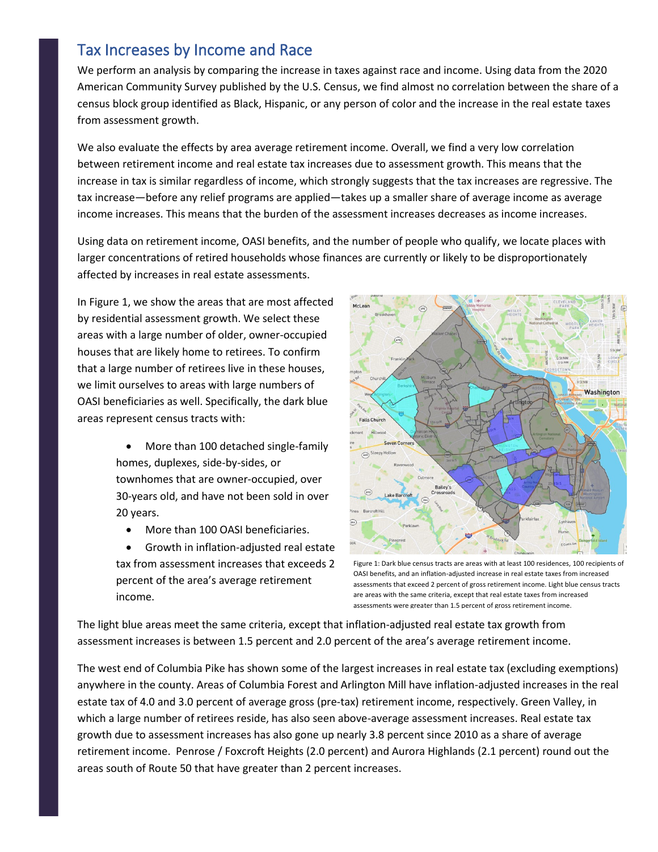### Tax Increases by Income and Race

We perform an analysis by comparing the increase in taxes against race and income. Using data from the 2020 American Community Survey published by the U.S. Census, we find almost no correlation between the share of a census block group identified as Black, Hispanic, or any person of color and the increase in the real estate taxes from assessment growth.

We also evaluate the effects by area average retirement income. Overall, we find a very low correlation between retirement income and real estate tax increases due to assessment growth. This means that the increase in tax is similar regardless of income, which strongly suggests that the tax increases are regressive. The tax increase—before any relief programs are applied—takes up a smaller share of average income as average income increases. This means that the burden of the assessment increases decreases as income increases.

Using data on retirement income, OASI benefits, and the number of people who qualify, we locate places with larger concentrations of retired households whose finances are currently or likely to be disproportionately affected by increases in real estate assessments.

In Figure 1, we show the areas that are most affected by residential assessment growth. We select these areas with a large number of older, owner-occupied houses that are likely home to retirees. To confirm that a large number of retirees live in these houses, we limit ourselves to areas with large numbers of OASI beneficiaries as well. Specifically, the dark blue areas represent census tracts with:

> • More than 100 detached single-family homes, duplexes, side-by-sides, or townhomes that are owner-occupied, over 30-years old, and have not been sold in over 20 years.

- More than 100 OASI beneficiaries.
- Growth in inflation-adjusted real estate tax from assessment increases that exceeds 2 percent of the area's average retirement income.



Figure 1: Dark blue census tracts are areas with at least 100 residences, 100 recipients of OASI benefits, and an inflation-adjusted increase in real estate taxes from increased assessments that exceed 2 percent of gross retirement income. Light blue census tracts are areas with the same criteria, except that real estate taxes from increased assessments were greater than 1.5 percent of gross retirement income.

The light blue areas meet the same criteria, except that inflation-adjusted real estate tax growth from assessment increases is between 1.5 percent and 2.0 percent of the area's average retirement income.

The west end of Columbia Pike has shown some of the largest increases in real estate tax (excluding exemptions) anywhere in the county. Areas of Columbia Forest and Arlington Mill have inflation-adjusted increases in the real estate tax of 4.0 and 3.0 percent of average gross (pre-tax) retirement income, respectively. Green Valley, in which a large number of retirees reside, has also seen above-average assessment increases. Real estate tax growth due to assessment increases has also gone up nearly 3.8 percent since 2010 as a share of average retirement income. Penrose / Foxcroft Heights (2.0 percent) and Aurora Highlands (2.1 percent) round out the areas south of Route 50 that have greater than 2 percent increases.